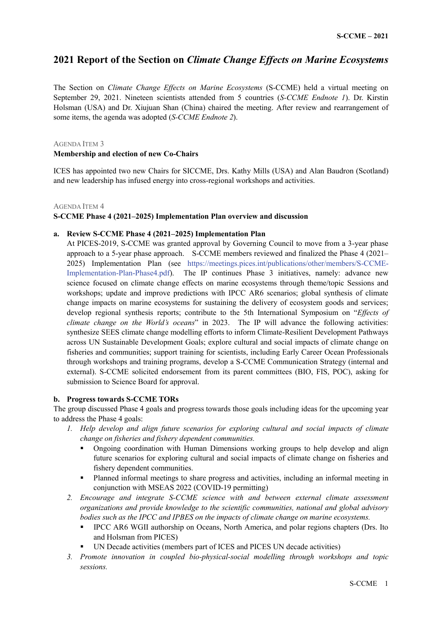# **2021 Report of the Section on** *Climate Change Effects on Marine Ecosystems*

The Section on *Climate Change Effects on Marine Ecosystems* (S-CCME) held a virtual meeting on September 29, 2021. Nineteen scientists attended from 5 countries (*[S-CCME Endnote 1](#page-7-0)*). Dr. Kirstin Holsman (USA) and Dr. Xiujuan Shan (China) chaired the meeting. After review and rearrangement of some items, the agenda was adopted (*[S-CCME Endnote 2](#page-8-0)*).

#### AGENDA ITEM 3

#### **Membership and election of new Co-Chairs**

ICES has appointed two new Chairs for SICCME, Drs. Kathy Mills (USA) and Alan Baudron (Scotland) and new leadership has infused energy into cross-regional workshops and activities.

#### AGENDA ITEM 4

#### **S-CCME Phase 4 (2021–2025) Implementation Plan overview and discussion**

#### **a. Review S-CCME Phase 4 (2021–2025) Implementation Plan**

At PICES-2019, S-CCME was granted approval by Governing Council to move from a 3-year phase approach to a 5-year phase approach. S-CCME members reviewed and finalized the Phase 4 (2021– 2025) Implementation Plan (see [https://meetings.pices.int/publications/other/members/S-CCME-](https://meetings.pices.int/publications/other/members/S-CCME-Implementation-Plan-Phase4.pdf)[Implementation-Plan-Phase4.pdf\)](https://meetings.pices.int/publications/other/members/S-CCME-Implementation-Plan-Phase4.pdf). The IP continues Phase 3 initiatives, namely: advance new science focused on climate change effects on marine ecosystems through theme/topic Sessions and workshops; update and improve predictions with IPCC AR6 scenarios; global synthesis of climate change impacts on marine ecosystems for sustaining the delivery of ecosystem goods and services; develop regional synthesis reports; contribute to the 5th International Symposium on "*Effects of climate change on the World's oceans*" in 2023. The IP will advance the following activities: synthesize SEES climate change modelling efforts to inform Climate-Resilient Development Pathways across UN Sustainable Development Goals; explore cultural and social impacts of climate change on fisheries and communities; support training for scientists, including Early Career Ocean Professionals through workshops and training programs, develop a S-CCME Communication Strategy (internal and external). S-CCME solicited endorsement from its parent committees (BIO, FIS, POC), asking for submission to Science Board for approval.

#### **b. Progress towards S-CCME TORs**

The group discussed Phase 4 goals and progress towards those goals including ideas for the upcoming year to address the Phase 4 goals:

- *1. Help develop and align future scenarios for exploring cultural and social impacts of climate change on fisheries and fishery dependent communities.*
	- Ongoing coordination with Human Dimensions working groups to help develop and align future scenarios for exploring cultural and social impacts of climate change on fisheries and fishery dependent communities.
	- Planned informal meetings to share progress and activities, including an informal meeting in conjunction with MSEAS 2022 (COVID-19 permitting)
- *2. Encourage and integrate S-CCME science with and between external climate assessment organizations and provide knowledge to the scientific communities, national and global advisory bodies such as the IPCC and IPBES on the impacts of climate change on marine ecosystems.*
	- IPCC AR6 WGII authorship on Oceans, North America, and polar regions chapters (Drs. Ito and Holsman from PICES)
	- UN Decade activities (members part of ICES and PICES UN decade activities)
- *3. Promote innovation in coupled bio-physical-social modelling through workshops and topic sessions.*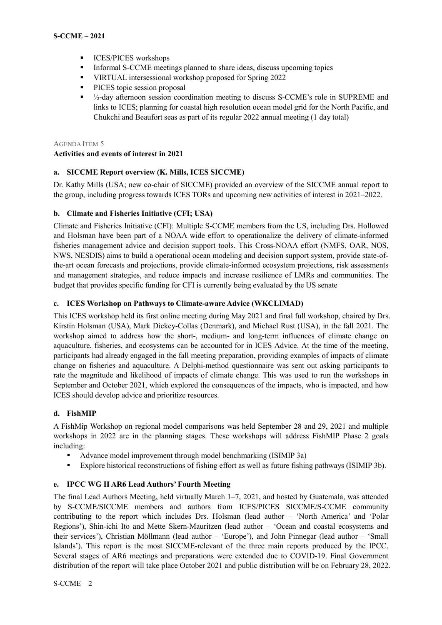- **ICES/PICES** workshops
- Informal S-CCME meetings planned to share ideas, discuss upcoming topics
- VIRTUAL intersessional workshop proposed for Spring 2022
- PICES topic session proposal
- <sup>•</sup> <sup>1</sup>/<sub>2</sub>-day afternoon session coordination meeting to discuss S-CCME's role in SUPREME and links to ICES; planning for coastal high resolution ocean model grid for the North Pacific, and Chukchi and Beaufort seas as part of its regular 2022 annual meeting (1 day total)

#### AGENDA ITEM 5

#### **Activities and events of interest in 2021**

# **a. SICCME Report overview (K. Mills, ICES SICCME)**

Dr. Kathy Mills (USA; new co-chair of SICCME) provided an overview of the SICCME annual report to the group, including progress towards ICES TORs and upcoming new activities of interest in 2021–2022.

#### **b. Climate and Fisheries Initiative (CFI; USA)**

Climate and Fisheries Initiative (CFI): Multiple S-CCME members from the US, including Drs. Hollowed and Holsman have been part of a NOAA wide effort to operationalize the delivery of climate-informed fisheries management advice and decision support tools. This Cross-NOAA effort (NMFS, OAR, NOS, NWS, NESDIS) aims to build a operational ocean modeling and decision support system, provide state-ofthe-art ocean forecasts and projections, provide climate-informed ecosystem projections, risk assessments and management strategies, and reduce impacts and increase resilience of LMRs and communities. The budget that provides specific funding for CFI is currently being evaluated by the US senate

#### **c. ICES Workshop on Pathways to Climate-aware Advice (WKCLIMAD)**

This ICES workshop held its first online meeting during May 2021 and final full workshop, chaired by Drs. Kirstin Holsman (USA), Mark Dickey-Collas (Denmark), and Michael Rust (USA), in the fall 2021. The workshop aimed to address how the short-, medium- and long-term influences of climate change on aquaculture, fisheries, and ecosystems can be accounted for in ICES Advice. At the time of the meeting, participants had already engaged in the fall meeting preparation, providing examples of impacts of climate change on fisheries and aquaculture. A Delphi-method questionnaire was sent out asking participants to rate the magnitude and likelihood of impacts of climate change. This was used to run the workshops in September and October 2021, which explored the consequences of the impacts, who is impacted, and how ICES should develop advice and prioritize resources.

# **d. FishMIP**

A FishMip Workshop on regional model comparisons was held September 28 and 29, 2021 and multiple workshops in 2022 are in the planning stages. These workshops will address FishMIP Phase 2 goals including:

- Advance model improvement through model benchmarking (ISIMIP 3a)
- Explore historical reconstructions of fishing effort as well as future fishing pathways (ISIMIP 3b).

# **e. IPCC WG II AR6 Lead Authors' Fourth Meeting**

The final Lead Authors Meeting, held virtually March 1–7, 2021, and hosted by Guatemala, was attended by S-CCME/SICCME members and authors from ICES/PICES SICCME/S-CCME community contributing to the report which includes Drs. Holsman (lead author – 'North America' and 'Polar Regions'), Shin-ichi Ito and Mette Skern-Mauritzen (lead author – 'Ocean and coastal ecosystems and their services'), Christian Möllmann (lead author – 'Europe'), and John Pinnegar (lead author – 'Small Islands'). This report is the most SICCME-relevant of the three main reports produced by the IPCC. Several stages of AR6 meetings and preparations were extended due to COVID-19. Final Government distribution of the report will take place October 2021 and public distribution will be on February 28, 2022.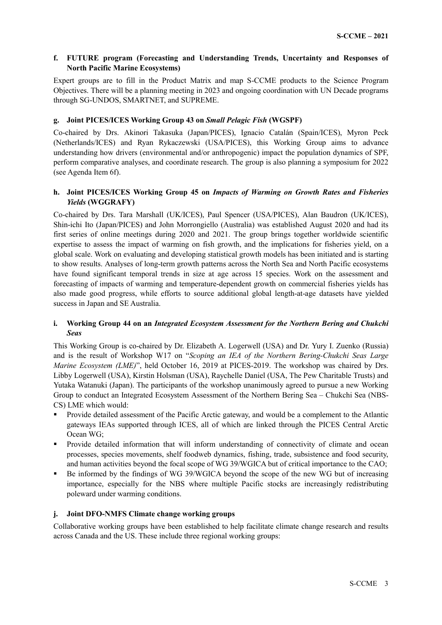# **f. FUTURE program (Forecasting and Understanding Trends, Uncertainty and Responses of North Pacific Marine Ecosystems)**

Expert groups are to fill in the Product Matrix and map S-CCME products to the Science Program Objectives. There will be a planning meeting in 2023 and ongoing coordination with UN Decade programs through SG-UNDOS, SMARTNET, and SUPREME.

#### **g. Joint PICES/ICES Working Group 43 on** *Small Pelagic Fish* **(WGSPF)**

Co-chaired by Drs. Akinori Takasuka (Japan/PICES), Ignacio Catalán (Spain/ICES), Myron Peck (Netherlands/ICES) and Ryan Rykaczewski (USA/PICES), this Working Group aims to advance understanding how drivers (environmental and/or anthropogenic) impact the population dynamics of SPF, perform comparative analyses, and coordinate research. The group is also planning a symposium for 2022 (see Agenda Item 6f).

# **h. Joint PICES/ICES Working Group 45 on** *Impacts of Warming on Growth Rates and Fisheries Yields* **(WGGRAFY)**

Co-chaired by Drs. Tara Marshall (UK/ICES), Paul Spencer (USA/PICES), Alan Baudron (UK/ICES), Shin-ichi Ito (Japan/PICES) and John Morrongiello (Australia) was established August 2020 and had its first series of online meetings during 2020 and 2021. The group brings together worldwide scientific expertise to assess the impact of warming on fish growth, and the implications for fisheries yield, on a global scale. Work on evaluating and developing statistical growth models has been initiated and is starting to show results. Analyses of long-term growth patterns across the North Sea and North Pacific ecosystems have found significant temporal trends in size at age across 15 species. Work on the assessment and forecasting of impacts of warming and temperature-dependent growth on commercial fisheries yields has also made good progress, while efforts to source additional global length-at-age datasets have yielded success in Japan and SE Australia.

# **i. Working Group 44 on an** *Integrated Ecosystem Assessment for the Northern Bering and Chukchi Seas*

This Working Group is co-chaired by Dr. Elizabeth A. Logerwell (USA) and Dr. Yury I. Zuenko (Russia) and is the result of Workshop W17 on "*Scoping an IEA of the Northern Bering-Chukchi Seas Large Marine Ecosystem (LME)*", held October 16, 2019 at PICES-2019. The workshop was chaired by Drs. Libby Logerwell (USA), Kirstin Holsman (USA), Raychelle Daniel (USA, The Pew Charitable Trusts) and Yutaka Watanuki (Japan). The participants of the workshop unanimously agreed to pursue a new Working Group to conduct an Integrated Ecosystem Assessment of the Northern Bering Sea – Chukchi Sea (NBS-CS) LME which would:

- Provide detailed assessment of the Pacific Arctic gateway, and would be a complement to the Atlantic gateways IEAs supported through ICES, all of which are linked through the PICES Central Arctic Ocean WG;
- **•** Provide detailed information that will inform understanding of connectivity of climate and ocean processes, species movements, shelf foodweb dynamics, fishing, trade, subsistence and food security, and human activities beyond the focal scope of WG 39/WGICA but of critical importance to the CAO;
- Be informed by the findings of WG 39/WGICA beyond the scope of the new WG but of increasing importance, especially for the NBS where multiple Pacific stocks are increasingly redistributing poleward under warming conditions.

#### **j. Joint DFO-NMFS Climate change working groups**

Collaborative working groups have been established to help facilitate climate change research and results across Canada and the US. These include three regional working groups: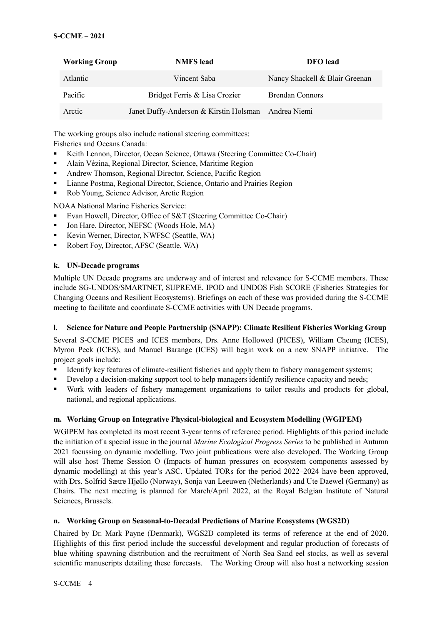| <b>Working Group</b> | <b>NMFS</b> lead                                    | <b>DFO</b> lead                |
|----------------------|-----------------------------------------------------|--------------------------------|
| Atlantic             | Vincent Saba                                        | Nancy Shackell & Blair Greenan |
| Pacific              | Bridget Ferris & Lisa Crozier                       | <b>Brendan Connors</b>         |
| Arctic               | Janet Duffy-Anderson & Kirstin Holsman Andrea Niemi |                                |

The working groups also include national steering committees:

Fisheries and Oceans Canada:

- Keith Lennon, Director, Ocean Science, Ottawa (Steering Committee Co-Chair)
- Alain Vézina, Regional Director, Science, Maritime Region
- Andrew Thomson, Regional Director, Science, Pacific Region
- Lianne Postma, Regional Director, Science, Ontario and Prairies Region
- Rob Young, Science Advisor, Arctic Region

NOAA National Marine Fisheries Service:

- Evan Howell, Director, Office of S&T (Steering Committee Co-Chair)
- Jon Hare, Director, NEFSC (Woods Hole, MA)
- Kevin Werner, Director, NWFSC (Seattle, WA)
- Robert Foy, Director, AFSC (Seattle, WA)

# **k. UN-Decade programs**

Multiple UN Decade programs are underway and of interest and relevance for S-CCME members. These include SG-UNDOS/SMARTNET, SUPREME, IPOD and UNDOS Fish SCORE (Fisheries Strategies for Changing Oceans and Resilient Ecosystems). Briefings on each of these was provided during the S-CCME meeting to facilitate and coordinate S-CCME activities with UN Decade programs.

# **l. Science for Nature and People Partnership (SNAPP): Climate Resilient Fisheries Working Group**

Several S-CCME PICES and ICES members, Drs. Anne Hollowed (PICES), William Cheung (ICES), Myron Peck (ICES), and Manuel Barange (ICES) will begin work on a new SNAPP initiative. The project goals include:

- Identify key features of climate-resilient fisheries and apply them to fishery management systems;
- Develop a decision-making support tool to help managers identify resilience capacity and needs;
- Work with leaders of fishery management organizations to tailor results and products for global, national, and regional applications.

# **m. Working Group on Integrative Physical**‐**biological and Ecosystem Modelling (WGIPEM)**

WGIPEM has completed its most recent 3-year terms of reference period. Highlights of this period include the initiation of a special issue in the journal *Marine Ecological Progress Series* to be published in Autumn 2021 focussing on dynamic modelling. Two joint publications were also developed. The Working Group will also host Theme Session O (Impacts of human pressures on ecosystem components assessed by dynamic modelling) at this year's ASC. Updated TORs for the period 2022–2024 have been approved, with Drs. Solfrid Sætre Hjøllo (Norway), Sonja van Leeuwen (Netherlands) and Ute Daewel (Germany) as Chairs. The next meeting is planned for March/April 2022, at the Royal Belgian Institute of Natural Sciences, Brussels.

# **n. Working Group on Seasonal-to-Decadal Predictions of Marine Ecosystems (WGS2D)**

Chaired by Dr. Mark Payne (Denmark), WGS2D completed its terms of reference at the end of 2020. Highlights of this first period include the successful development and regular production of forecasts of blue whiting spawning distribution and the recruitment of North Sea Sand eel stocks, as well as several scientific manuscripts detailing these forecasts. The Working Group will also host a networking session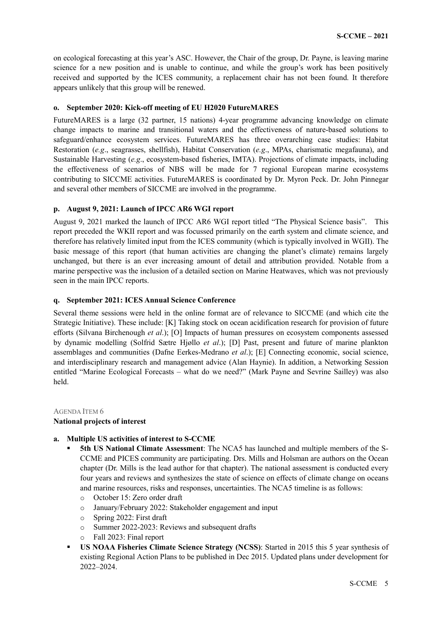on ecological forecasting at this year's ASC. However, the Chair of the group, Dr. Payne, is leaving marine science for a new position and is unable to continue, and while the group's work has been positively received and supported by the ICES community, a replacement chair has not been found. It therefore appears unlikely that this group will be renewed.

#### **o. September 2020: Kick-off meeting of EU H2020 FutureMARES**

FutureMARES is a large (32 partner, 15 nations) 4-year programme advancing knowledge on climate change impacts to marine and transitional waters and the effectiveness of nature-based solutions to safeguard/enhance ecosystem services. FutureMARES has three overarching case studies: Habitat Restoration (*e.g*., seagrasses, shellfish), Habitat Conservation (*e.g*., MPAs, charismatic megafauna), and Sustainable Harvesting (*e.g*., ecosystem-based fisheries, IMTA). Projections of climate impacts, including the effectiveness of scenarios of NBS will be made for 7 regional European marine ecosystems contributing to SICCME activities. FutureMARES is coordinated by Dr. Myron Peck. Dr. John Pinnegar and several other members of SICCME are involved in the programme.

#### **p. August 9, 2021: Launch of IPCC AR6 WGI report**

August 9, 2021 marked the launch of IPCC AR6 WGI report titled "The Physical Science basis". This report preceded the WKII report and was focussed primarily on the earth system and climate science, and therefore has relatively limited input from the ICES community (which is typically involved in WGII). The basic message of this report (that human activities are changing the planet's climate) remains largely unchanged, but there is an ever increasing amount of detail and attribution provided. Notable from a marine perspective was the inclusion of a detailed section on Marine Heatwaves, which was not previously seen in the main IPCC reports.

#### **q. September 2021: ICES Annual Science Conference**

Several theme sessions were held in the online format are of relevance to SICCME (and which cite the Strategic Initiative). These include: [K] Taking stock on ocean acidification research for provision of future efforts (Silvana Birchenough *et al*.); [O] Impacts of human pressures on ecosystem components assessed by dynamic modelling (Solfrid Sætre Hjøllo *et al*.); [D] Past, present and future of marine plankton assemblages and communities (Dafne Eerkes-Medrano *et al*.); [E] Connecting economic, social science, and interdisciplinary research and management advice (Alan Haynie). In addition, a Networking Session entitled "Marine Ecological Forecasts – what do we need?" (Mark Payne and Sevrine Sailley) was also held.

# AGENDA ITEM 6

# **National projects of interest**

# **a. Multiple US activities of interest to S-CCME**

- **5th US National Climate Assessment**: The NCA5 has launched and multiple members of the S-CCME and PICES community are participating. Drs. Mills and Holsman are authors on the Ocean chapter (Dr. Mills is the lead author for that chapter). The national assessment is conducted every four years and reviews and synthesizes the state of science on effects of climate change on oceans and marine resources, risks and responses, uncertainties. The NCA5 timeline is as follows:
	- o October 15: Zero order draft
	- o January/February 2022: Stakeholder engagement and input
	- o Spring 2022: First draft
	- o Summer 2022-2023: Reviews and subsequent drafts
	- o Fall 2023: Final report
- **US NOAA Fisheries Climate Science Strategy (NCSS)**: Started in 2015 this 5 year synthesis of existing Regional Action Plans to be published in Dec 2015. Updated plans under development for 2022–2024.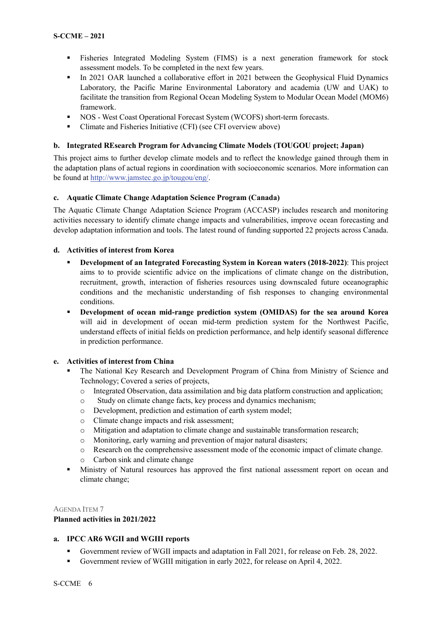- Fisheries Integrated Modeling System (FIMS) is a next generation framework for stock assessment models. To be completed in the next few years.
- In 2021 OAR launched a collaborative effort in 2021 between the Geophysical Fluid Dynamics Laboratory, the Pacific Marine Environmental Laboratory and academia (UW and UAK) to facilitate the transition from Regional Ocean Modeling System to Modular Ocean Model (MOM6) framework.
- NOS West Coast Operational Forecast System (WCOFS) short-term forecasts.
- Climate and Fisheries Initiative (CFI) (see CFI overview above)

# **b. Integrated REsearch Program for Advancing Climate Models (TOUGOU project; Japan)**

This project aims to further develop climate models and to reflect the knowledge gained through them in the adaptation plans of actual regions in coordination with socioeconomic scenarios. More information can be found at [http://www.jamstec.go.jp/tougou/eng/.](http://www.jamstec.go.jp/tougou/eng/)

# **c. Aquatic Climate Change Adaptation Science Program (Canada)**

The Aquatic Climate Change Adaptation Science Program (ACCASP) includes research and monitoring activities necessary to identify climate change impacts and vulnerabilities, improve ocean forecasting and develop adaptation information and tools. The latest round of funding supported 22 projects across Canada.

#### **d. Activities of interest from Korea**

- **Development of an Integrated Forecasting System in Korean waters (2018-2022)**: This project aims to to provide scientific advice on the implications of climate change on the distribution, recruitment, growth, interaction of fisheries resources using downscaled future oceanographic conditions and the mechanistic understanding of fish responses to changing environmental conditions.
- **Development of ocean mid-range prediction system (OMIDAS) for the sea around Korea** will aid in development of ocean mid-term prediction system for the Northwest Pacific, understand effects of initial fields on prediction performance, and help identify seasonal difference in prediction performance.

# **e. Activities of interest from China**

- The National Key Research and Development Program of China from Ministry of Science and Technology; Covered a series of projects,
	- o Integrated Observation, data assimilation and big data platform construction and application;
	- o Study on climate change facts, key process and dynamics mechanism;
	- o Development, prediction and estimation of earth system model;
	- o Climate change impacts and risk assessment;
	- o Mitigation and adaptation to climate change and sustainable transformation research;
	- o Monitoring, early warning and prevention of major natural disasters;
	- o Research on the comprehensive assessment mode of the economic impact of climate change.
	- o Carbon sink and climate change
- Ministry of Natural resources has approved the first national assessment report on ocean and climate change;

#### AGENDA ITEM 7

#### **Planned activities in 2021/2022**

# **a. IPCC AR6 WGII and WGIII reports**

- Government review of WGII impacts and adaptation in Fall 2021, for release on Feb. 28, 2022.
- Government review of WGIII mitigation in early 2022, for release on April 4, 2022.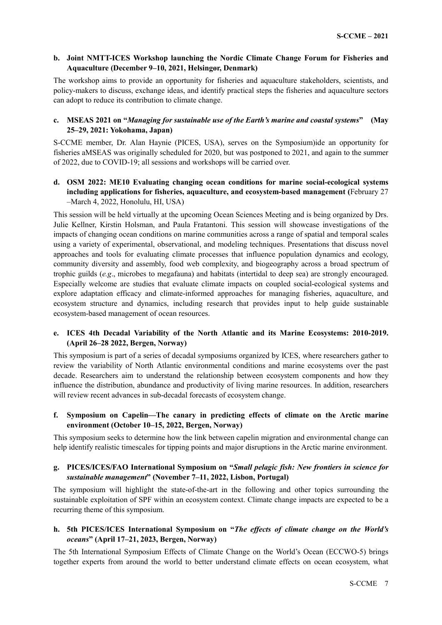# **b. Joint NMTT-ICES Workshop launching the Nordic Climate Change Forum for Fisheries and Aquaculture (December 9–10, 2021, Helsingør, Denmark)**

The workshop aims to provide an opportunity for fisheries and aquaculture stakeholders, scientists, and policy-makers to discuss, exchange ideas, and identify practical steps the fisheries and aquaculture sectors can adopt to reduce its contribution to climate change.

# **c. MSEAS 2021 on "***Managing for sustainable use of the Earth's marine and coastal systems***" (May 25–29, 2021: Yokohama, Japan)**

S-CCME member, Dr. Alan Haynie (PICES, USA), serves on the Symposium)ide an opportunity for fisheries aMSEAS was originally scheduled for 2020, but was postponed to 2021, and again to the summer of 2022, due to COVID-19; all sessions and workshops will be carried over.

# **d. OSM 2022: ME10 Evaluating changing ocean conditions for marine social-ecological systems including applications for fisheries, aquaculture, and ecosystem-based management (**February 27 –March 4, 2022, Honolulu, HI, USA)

This session will be held virtually at the upcoming Ocean Sciences Meeting and is being organized by Drs. Julie Kellner, Kirstin Holsman, and Paula Fratantoni. This session will showcase investigations of the impacts of changing ocean conditions on marine communities across a range of spatial and temporal scales using a variety of experimental, observational, and modeling techniques. Presentations that discuss novel approaches and tools for evaluating climate processes that influence population dynamics and ecology, community diversity and assembly, food web complexity, and biogeography across a broad spectrum of trophic guilds (*e.g*., microbes to megafauna) and habitats (intertidal to deep sea) are strongly encouraged. Especially welcome are studies that evaluate climate impacts on coupled social-ecological systems and explore adaptation efficacy and climate-informed approaches for managing fisheries, aquaculture, and ecosystem structure and dynamics, including research that provides input to help guide sustainable ecosystem-based management of ocean resources.

# **e. ICES 4th Decadal Variability of the North Atlantic and its Marine Ecosystems: 2010-2019. (April 26–28 2022, Bergen, Norway)**

This symposium is part of a series of decadal symposiums organized by ICES, where researchers gather to review the variability of North Atlantic environmental conditions and marine ecosystems over the past decade. Researchers aim to understand the relationship between ecosystem components and how they influence the distribution, abundance and productivity of living marine resources. In addition, researchers will review recent advances in sub-decadal forecasts of ecosystem change.

# **f. Symposium on Capelin—The canary in predicting effects of climate on the Arctic marine environment (October 10–15, 2022, Bergen, Norway)**

This symposium seeks to determine how the link between capelin migration and environmental change can help identify realistic timescales for tipping points and major disruptions in the Arctic marine environment.

# **g. PICES/ICES/FAO International Symposium on "***Small pelagic fish: New frontiers in science for sustainable management***" (November 7–11, 2022, Lisbon, Portugal)**

The symposium will highlight the state-of-the-art in the following and other topics surrounding the sustainable exploitation of SPF within an ecosystem context. Climate change impacts are expected to be a recurring theme of this symposium.

# **h. 5th PICES/ICES International Symposium on "***The effects of climate change on the World's oceans***" (April 17–21, 2023, Bergen, Norway)**

The 5th International Symposium Effects of Climate Change on the World's Ocean (ECCWO-5) brings together experts from around the world to better understand climate effects on ocean ecosystem, what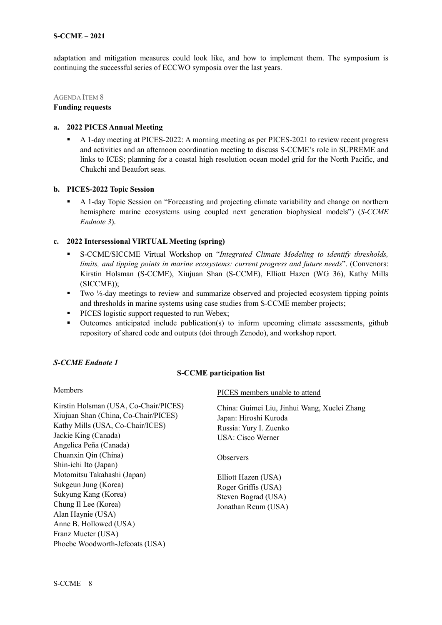adaptation and mitigation measures could look like, and how to implement them. The symposium is continuing the successful series of ECCWO symposia over the last years.

AGENDA ITEM 8

#### **Funding requests**

#### **a. 2022 PICES Annual Meeting**

 A 1-day meeting at PICES-2022: A morning meeting as per PICES-2021 to review recent progress and activities and an afternoon coordination meeting to discuss S-CCME's role in SUPREME and links to ICES; planning for a coastal high resolution ocean model grid for the North Pacific, and Chukchi and Beaufort seas.

#### **b. PICES-2022 Topic Session**

 A 1-day Topic Session on "Forecasting and projecting climate variability and change on northern hemisphere marine ecosystems using coupled next generation biophysical models") (*S-CCME Endnote 3*).

#### **c. 2022 Intersessional VIRTUAL Meeting (spring)**

- S-CCME/SICCME Virtual Workshop on "*Integrated Climate Modeling to identify thresholds, limits, and tipping points in marine ecosystems: current progress and future needs*". (Convenors: Kirstin Holsman (S-CCME), Xiujuan Shan (S-CCME), Elliott Hazen (WG 36), Kathy Mills (SICCME));
- $\blacksquare$  Two ½-day meetings to review and summarize observed and projected ecosystem tipping points and thresholds in marine systems using case studies from S-CCME member projects;
- **PICES** logistic support requested to run Webex;
- Outcomes anticipated include publication(s) to inform upcoming climate assessments, github repository of shared code and outputs (doi through Zenodo), and workshop report.

# <span id="page-7-0"></span>*S-CCME Endnote 1*

# **S-CCME participation list**

#### Members

Kirstin Holsman (USA, Co-Chair/PICES) Xiujuan Shan (China, Co-Chair/PICES) Kathy Mills (USA, Co-Chair/ICES) Jackie King (Canada) Angelica Peña (Canada) Chuanxin Qin (China) Shin-ichi Ito (Japan) Motomitsu Takahashi (Japan) Sukgeun Jung (Korea) Sukyung Kang (Korea) Chung Il Lee (Korea) Alan Haynie (USA) Anne B. Hollowed (USA) Franz Mueter (USA) Phoebe Woodworth-Jefcoats (USA)

PICES members unable to attend

China: Guimei Liu, Jinhui Wang, Xuelei Zhang Japan: Hiroshi Kuroda Russia: Yury I. Zuenko USA: Cisco Werner

#### **Observers**

Elliott Hazen (USA) Roger Griffis (USA) Steven Bograd (USA) Jonathan Reum (USA)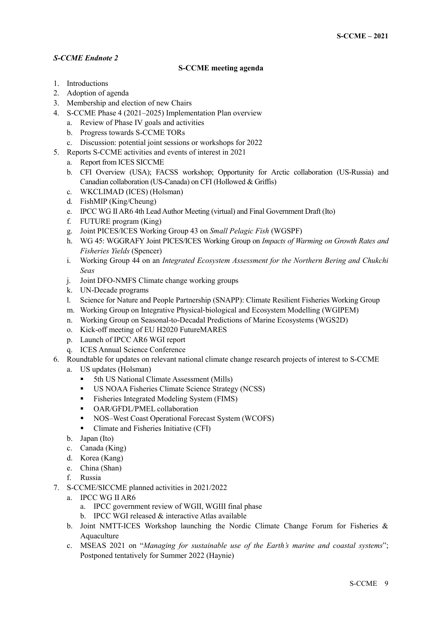# <span id="page-8-0"></span>*S-CCME Endnote 2*

# **S-CCME meeting agenda**

- 1. Introductions
- 2. Adoption of agenda
- 3. Membership and election of new Chairs
- 4. S-CCME Phase 4 (2021–2025) Implementation Plan overview
	- a. Review of Phase IV goals and activities
	- b. Progress towards S-CCME TORs
	- c. Discussion: potential joint sessions or workshops for 2022
- 5. Reports S-CCME activities and events of interest in 2021
	- a. Report from ICES SICCME
	- b. CFI Overview (USA); FACSS workshop; Opportunity for Arctic collaboration (US-Russia) and Canadian collaboration (US-Canada) on CFI (Hollowed & Griffis)
	- c. WKCLIMAD (ICES) (Holsman)
	- d. FishMIP (King/Cheung)
	- e. IPCC WG II AR6 4th Lead Author Meeting (virtual) and Final Government Draft (Ito)
	- f. FUTURE program (King)
	- g. Joint PICES/ICES Working Group 43 on *Small Pelagic Fish* (WGSPF)
	- h. WG 45: WGGRAFY Joint PICES/ICES Working Group on *Impacts of Warming on Growth Rates and Fisheries Yields* (Spencer)
	- i. Working Group 44 on an *Integrated Ecosystem Assessment for the Northern Bering and Chukchi Seas*
	- j. Joint DFO-NMFS Climate change working groups
	- k. UN-Decade programs
	- l. Science for Nature and People Partnership (SNAPP): Climate Resilient Fisheries Working Group
	- m. Working Group on Integrative Physical‐biological and Ecosystem Modelling (WGIPEM)
	- n. Working Group on Seasonal-to-Decadal Predictions of Marine Ecosystems (WGS2D)
	- o. Kick-off meeting of EU H2020 FutureMARES
	- p. Launch of IPCC AR6 WGI report
	- q. ICES Annual Science Conference
- 6. Roundtable for updates on relevant national climate change research projects of interest to S-CCME
	- a. US updates (Holsman)
		- 5th US National Climate Assessment (Mills)
		- US NOAA Fisheries Climate Science Strategy (NCSS)
		- Fisheries Integrated Modeling System (FIMS)
		- **•** OAR/GFDL/PMEL collaboration
		- NOS–West Coast Operational Forecast System (WCOFS)
		- Climate and Fisheries Initiative (CFI)
	- b. Japan (Ito)
	- c. Canada (King)
	- d. Korea (Kang)
	- e. China (Shan)
	- f. Russia
- 7. S-CCME/SICCME planned activities in 2021/2022
	- a. IPCC WG II AR6
		- a. IPCC government review of WGII, WGIII final phase
		- b. IPCC WGI released & interactive Atlas available
	- b. Joint NMTT-ICES Workshop launching the Nordic Climate Change Forum for Fisheries & Aquaculture
	- c. MSEAS 2021 on "*Managing for sustainable use of the Earth's marine and coastal systems*"; Postponed tentatively for Summer 2022 (Haynie)